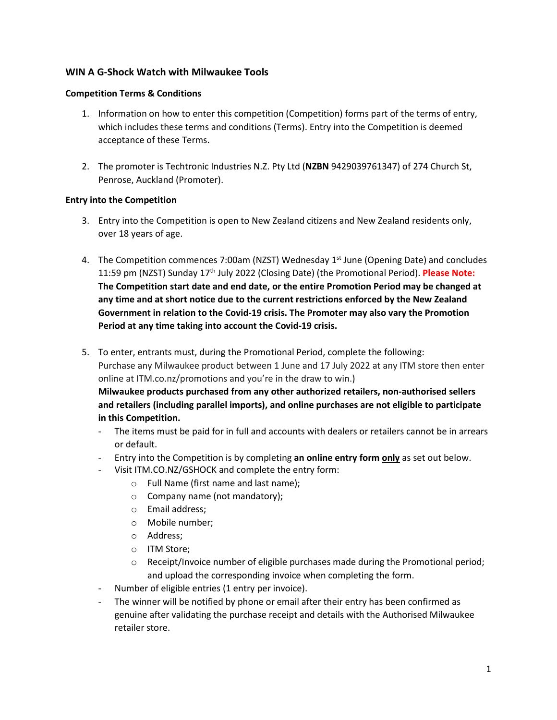# **WIN A G-Shock Watch with Milwaukee Tools**

## **Competition Terms & Conditions**

- 1. Information on how to enter this competition (Competition) forms part of the terms of entry, which includes these terms and conditions (Terms). Entry into the Competition is deemed acceptance of these Terms.
- 2. The promoter is Techtronic Industries N.Z. Pty Ltd (**NZBN** 9429039761347) of 274 Church St, Penrose, Auckland (Promoter).

# **Entry into the Competition**

- 3. Entry into the Competition is open to New Zealand citizens and New Zealand residents only, over 18 years of age.
- 4. The Competition commences 7:00am (NZST) Wednesday 1<sup>st</sup> June (Opening Date) and concludes 11:59 pm (NZST) Sunday 17th July 2022 (Closing Date) (the Promotional Period). **Please Note: The Competition start date and end date, or the entire Promotion Period may be changed at any time and at short notice due to the current restrictions enforced by the New Zealand Government in relation to the Covid-19 crisis. The Promoter may also vary the Promotion Period at any time taking into account the Covid-19 crisis.**
- 5. To enter, entrants must, during the Promotional Period, complete the following: Purchase any Milwaukee product between 1 June and 17 July 2022 at any ITM store then enter online at ITM.co.nz/promotions and you're in the draw to win.) **Milwaukee products purchased from any other authorized retailers, non-authorised sellers and retailers (including parallel imports), and online purchases are not eligible to participate in this Competition.**
	- The items must be paid for in full and accounts with dealers or retailers cannot be in arrears or default.
	- Entry into the Competition is by completing **an online entry form only** as set out below.
	- Visit ITM.CO.NZ/GSHOCK and complete the entry form:
		- o Full Name (first name and last name);
		- o Company name (not mandatory);
		- o Email address;
		- o Mobile number;
		- o Address;
		- o ITM Store;
		- $\circ$  Receipt/Invoice number of eligible purchases made during the Promotional period; and upload the corresponding invoice when completing the form.
	- Number of eligible entries (1 entry per invoice).
	- The winner will be notified by phone or email after their entry has been confirmed as genuine after validating the purchase receipt and details with the Authorised Milwaukee retailer store.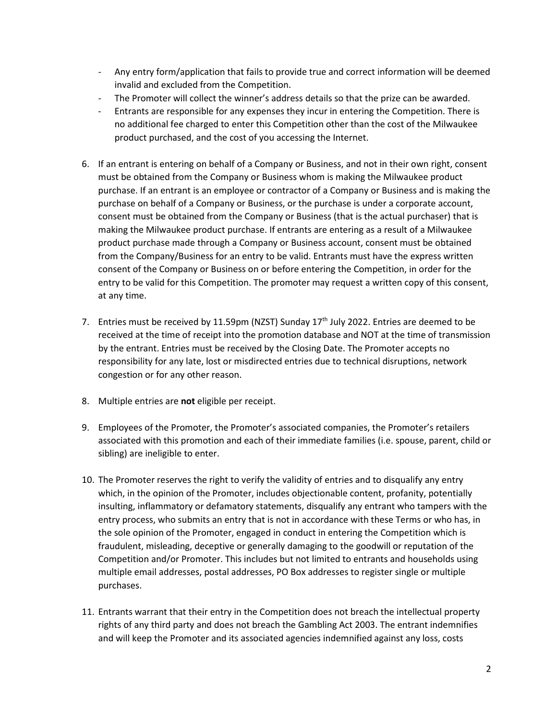- Any entry form/application that fails to provide true and correct information will be deemed invalid and excluded from the Competition.
- The Promoter will collect the winner's address details so that the prize can be awarded.
- Entrants are responsible for any expenses they incur in entering the Competition. There is no additional fee charged to enter this Competition other than the cost of the Milwaukee product purchased, and the cost of you accessing the Internet.
- 6. If an entrant is entering on behalf of a Company or Business, and not in their own right, consent must be obtained from the Company or Business whom is making the Milwaukee product purchase. If an entrant is an employee or contractor of a Company or Business and is making the purchase on behalf of a Company or Business, or the purchase is under a corporate account, consent must be obtained from the Company or Business (that is the actual purchaser) that is making the Milwaukee product purchase. If entrants are entering as a result of a Milwaukee product purchase made through a Company or Business account, consent must be obtained from the Company/Business for an entry to be valid. Entrants must have the express written consent of the Company or Business on or before entering the Competition, in order for the entry to be valid for this Competition. The promoter may request a written copy of this consent, at any time.
- 7. Entries must be received by 11.59pm (NZST) Sunday  $17<sup>th</sup>$  July 2022. Entries are deemed to be received at the time of receipt into the promotion database and NOT at the time of transmission by the entrant. Entries must be received by the Closing Date. The Promoter accepts no responsibility for any late, lost or misdirected entries due to technical disruptions, network congestion or for any other reason.
- 8. Multiple entries are **not** eligible per receipt.
- 9. Employees of the Promoter, the Promoter's associated companies, the Promoter's retailers associated with this promotion and each of their immediate families (i.e. spouse, parent, child or sibling) are ineligible to enter.
- 10. The Promoter reserves the right to verify the validity of entries and to disqualify any entry which, in the opinion of the Promoter, includes objectionable content, profanity, potentially insulting, inflammatory or defamatory statements, disqualify any entrant who tampers with the entry process, who submits an entry that is not in accordance with these Terms or who has, in the sole opinion of the Promoter, engaged in conduct in entering the Competition which is fraudulent, misleading, deceptive or generally damaging to the goodwill or reputation of the Competition and/or Promoter. This includes but not limited to entrants and households using multiple email addresses, postal addresses, PO Box addresses to register single or multiple purchases.
- 11. Entrants warrant that their entry in the Competition does not breach the intellectual property rights of any third party and does not breach the Gambling Act 2003. The entrant indemnifies and will keep the Promoter and its associated agencies indemnified against any loss, costs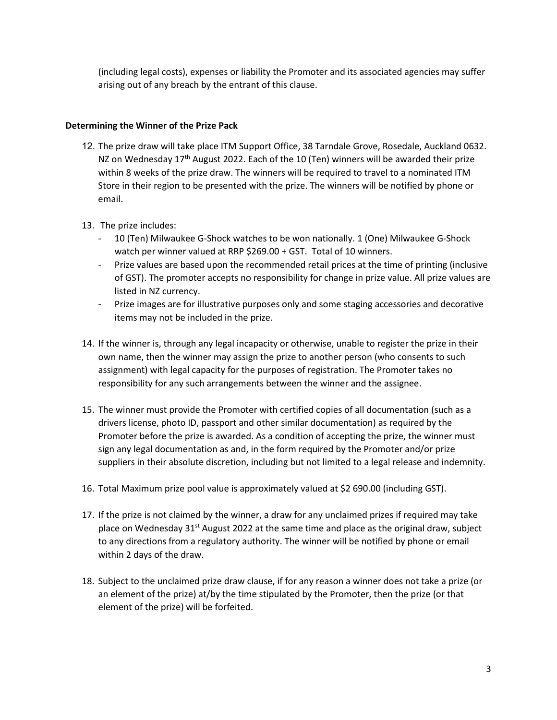(including legal costs), expenses or liability the Promoter and its associated agencies may suffer arising out of any breach by the entrant of this clause.

### **Determining the Winner of the Prize Pack**

- 12. The prize draw will take place ITM Support Office, 38 Tarndale Grove, Rosedale, Auckland 0632. NZ on Wednesday 17<sup>th</sup> August 2022. Each of the 10 (Ten) winners will be awarded their prize within 8 weeks of the prize draw. The winners will be required to travel to a nominated ITM Store in their region to be presented with the prize. The winners will be notified by phone or email.
- 13. The prize includes:
	- 10 (Ten) Milwaukee G-Shock watches to be won nationally. 1 (One) Milwaukee G-Shock watch per winner valued at RRP \$269.00 + GST. Total of 10 winners.
	- Prize values are based upon the recommended retail prices at the time of printing (inclusive of GST). The promoter accepts no responsibility for change in prize value. All prize values are listed in NZ currency.
	- Prize images are for illustrative purposes only and some staging accessories and decorative items may not be included in the prize.
- 14. If the winner is, through any legal incapacity or otherwise, unable to register the prize in their own name, then the winner may assign the prize to another person (who consents to such assignment) with legal capacity for the purposes of registration. The Promoter takes no responsibility for any such arrangements between the winner and the assignee.
- 15. The winner must provide the Promoter with certified copies of all documentation (such as a drivers license, photo ID, passport and other similar documentation) as required by the Promoter before the prize is awarded. As a condition of accepting the prize, the winner must sign any legal documentation as and, in the form required by the Promoter and/or prize suppliers in their absolute discretion, including but not limited to a legal release and indemnity.
- 16. Total Maximum prize pool value is approximately valued at \$2 690.00 (including GST).
- 17. If the prize is not claimed by the winner, a draw for any unclaimed prizes if required may take place on Wednesday  $31<sup>st</sup>$  August 2022 at the same time and place as the original draw, subject to any directions from a regulatory authority. The winner will be notified by phone or email within 2 days of the draw.
- 18. Subject to the unclaimed prize draw clause, if for any reason a winner does not take a prize (or an element of the prize) at/by the time stipulated by the Promoter, then the prize (or that element of the prize) will be forfeited.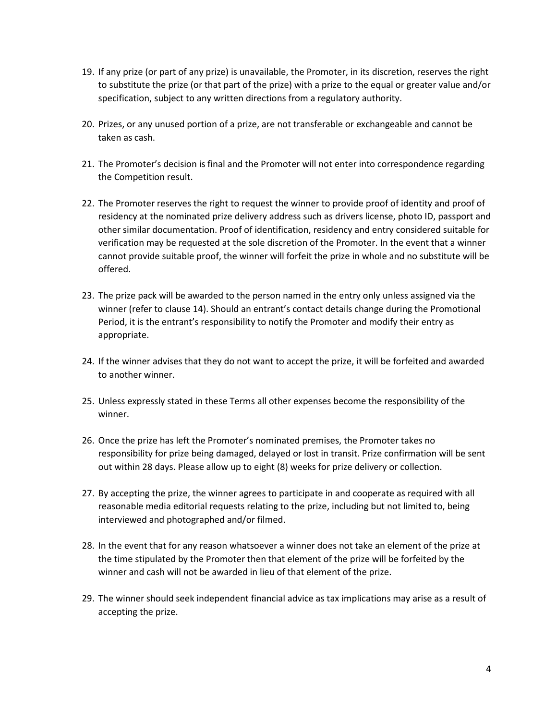- 19. If any prize (or part of any prize) is unavailable, the Promoter, in its discretion, reserves the right to substitute the prize (or that part of the prize) with a prize to the equal or greater value and/or specification, subject to any written directions from a regulatory authority.
- 20. Prizes, or any unused portion of a prize, are not transferable or exchangeable and cannot be taken as cash.
- 21. The Promoter's decision is final and the Promoter will not enter into correspondence regarding the Competition result.
- 22. The Promoter reserves the right to request the winner to provide proof of identity and proof of residency at the nominated prize delivery address such as drivers license, photo ID, passport and other similar documentation. Proof of identification, residency and entry considered suitable for verification may be requested at the sole discretion of the Promoter. In the event that a winner cannot provide suitable proof, the winner will forfeit the prize in whole and no substitute will be offered.
- 23. The prize pack will be awarded to the person named in the entry only unless assigned via the winner (refer to clause 14). Should an entrant's contact details change during the Promotional Period, it is the entrant's responsibility to notify the Promoter and modify their entry as appropriate.
- 24. If the winner advises that they do not want to accept the prize, it will be forfeited and awarded to another winner.
- 25. Unless expressly stated in these Terms all other expenses become the responsibility of the winner.
- 26. Once the prize has left the Promoter's nominated premises, the Promoter takes no responsibility for prize being damaged, delayed or lost in transit. Prize confirmation will be sent out within 28 days. Please allow up to eight (8) weeks for prize delivery or collection.
- 27. By accepting the prize, the winner agrees to participate in and cooperate as required with all reasonable media editorial requests relating to the prize, including but not limited to, being interviewed and photographed and/or filmed.
- 28. In the event that for any reason whatsoever a winner does not take an element of the prize at the time stipulated by the Promoter then that element of the prize will be forfeited by the winner and cash will not be awarded in lieu of that element of the prize.
- 29. The winner should seek independent financial advice as tax implications may arise as a result of accepting the prize.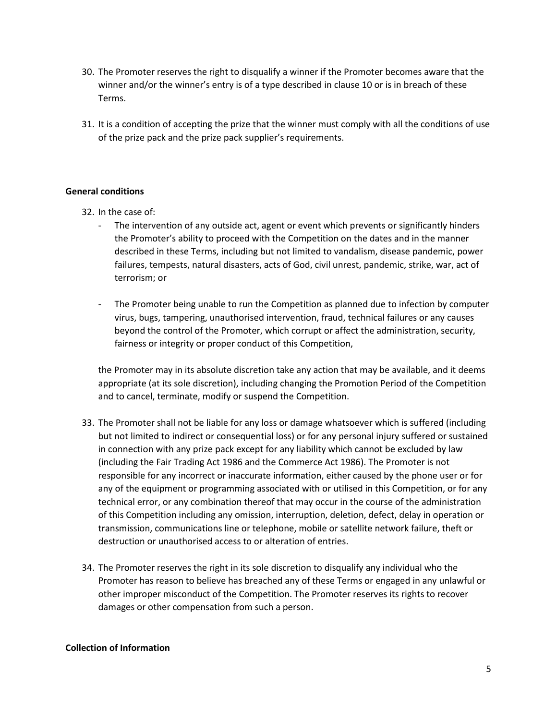- 30. The Promoter reserves the right to disqualify a winner if the Promoter becomes aware that the winner and/or the winner's entry is of a type described in clause 10 or is in breach of these Terms.
- 31. It is a condition of accepting the prize that the winner must comply with all the conditions of use of the prize pack and the prize pack supplier's requirements.

## **General conditions**

- 32. In the case of:
	- The intervention of any outside act, agent or event which prevents or significantly hinders the Promoter's ability to proceed with the Competition on the dates and in the manner described in these Terms, including but not limited to vandalism, disease pandemic, power failures, tempests, natural disasters, acts of God, civil unrest, pandemic, strike, war, act of terrorism; or
	- The Promoter being unable to run the Competition as planned due to infection by computer virus, bugs, tampering, unauthorised intervention, fraud, technical failures or any causes beyond the control of the Promoter, which corrupt or affect the administration, security, fairness or integrity or proper conduct of this Competition,

the Promoter may in its absolute discretion take any action that may be available, and it deems appropriate (at its sole discretion), including changing the Promotion Period of the Competition and to cancel, terminate, modify or suspend the Competition.

- 33. The Promoter shall not be liable for any loss or damage whatsoever which is suffered (including but not limited to indirect or consequential loss) or for any personal injury suffered or sustained in connection with any prize pack except for any liability which cannot be excluded by law (including the Fair Trading Act 1986 and the Commerce Act 1986). The Promoter is not responsible for any incorrect or inaccurate information, either caused by the phone user or for any of the equipment or programming associated with or utilised in this Competition, or for any technical error, or any combination thereof that may occur in the course of the administration of this Competition including any omission, interruption, deletion, defect, delay in operation or transmission, communications line or telephone, mobile or satellite network failure, theft or destruction or unauthorised access to or alteration of entries.
- 34. The Promoter reserves the right in its sole discretion to disqualify any individual who the Promoter has reason to believe has breached any of these Terms or engaged in any unlawful or other improper misconduct of the Competition. The Promoter reserves its rights to recover damages or other compensation from such a person.

### **Collection of Information**